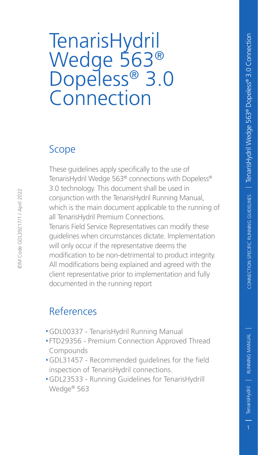# TenarisHydril Wedge 563® Dopeless® 3.0 **Connection**

#### Scope

These guidelines apply specifically to the use of TenarisHydril Wedge 563® connections with Dopeless® 3.0 technology. This document shall be used in conjunction with the TenarisHydril Running Manual, which is the main document applicable to the running of all TenarisHydril Premium Connections. Tenaris Field Service Representatives can modify these guidelines when circumstances dictate. Implementation will only occur if the representative deems the modification to be non-detrimental to product integrity. All modifications being explained and agreed with the client representative prior to implementation and fully documented in the running report

#### References

- .GDL00337 TenarisHydril Running Manual
- .FTD29356 Premium Connection Approved Thread Compounds
- .GDL31457 Recommended guidelines for the field inspection of TenarisHydril connections.
- .GDL23533 Running Guidelines for TenarisHydrill Wedge® 563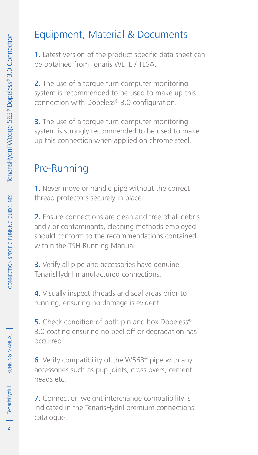# Equipment, Material & Documents

1. Latest version of the product specific data sheet can be obtained from Tenaris WETE / TESA.

2. The use of a torque turn computer monitoring system is recommended to be used to make up this connection with Dopeless® 3.0 configuration.

**3.** The use of a torque turn computer monitoring system is strongly recommended to be used to make up this connection when applied on chrome steel.

# Pre-Running

1. Never move or handle pipe without the correct thread protectors securely in place.

2. Ensure connections are clean and free of all debris and / or contaminants, cleaning methods employed should conform to the recommendations contained within the TSH Running Manual.

3. Verify all pipe and accessories have genuine TenarisHydril manufactured connections.

4. Visually inspect threads and seal areas prior to running, ensuring no damage is evident.

5. Check condition of both pin and box Dopeless<sup>®</sup> 3.0 coating ensuring no peel off or degradation has occurred.

6. Verify compatibility of the W563® pipe with any accessories such as pup joints, cross overs, cement heads etc.

7. Connection weight interchange compatibility is indicated in the TenarisHydril premium connections catalogue.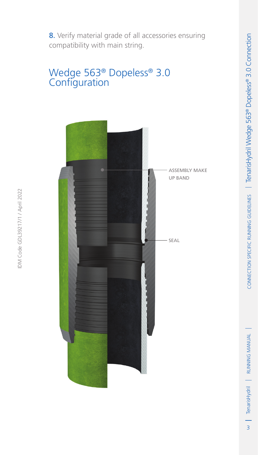#### Wedge 563® Dopeless® 3.0 **Configuration**

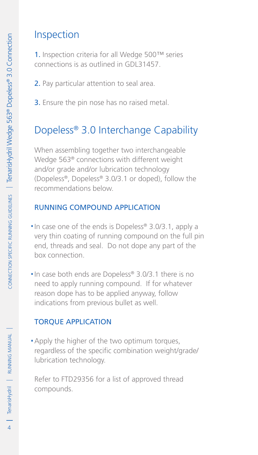### Inspection

1. Inspection criteria for all Wedge 500™ series connections is as outlined in GDL31457.

- 2. Pay particular attention to seal area.
- **3.** Ensure the pin nose has no raised metal.

## Dopeless® 3.0 Interchange Capability

When assembling together two interchangeable Wedge 563® connections with different weight and/or grade and/or lubrication technology (Dopeless®, Dopeless® 3.0/3.1 or doped), follow the recommendations below.

#### Running compound application

- .In case one of the ends is Dopeless® 3.0/3.1, apply a very thin coating of running compound on the full pin end, threads and seal. Do not dope any part of the box connection.
- .In case both ends are Dopeless® 3.0/3.1 there is no need to apply running compound. If for whatever reason dope has to be applied anyway, follow indications from previous bullet as well.

#### Torque application

. Apply the higher of the two optimum torques, regardless of the specific combination weight/grade/ lubrication technology.

Refer to FTD29356 for a list of approved thread compounds.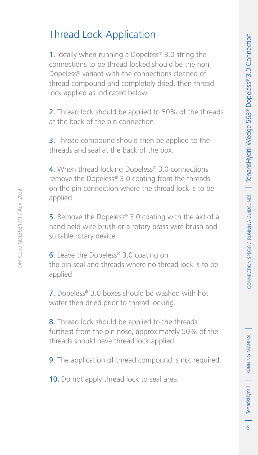# Thread Lock Application

1. Ideally when running a Dopeless<sup>®</sup> 3.0 string the connections to be thread locked should be the non Dopeless® variant with the connections cleaned of thread compound and completely dried, then thread lock applied as indicated below.

2. Thread lock should be applied to 50% of the threads at the back of the pin connection.

**3.** Thread compound should then be applied to the threads and seal at the back of the box.

4. When thread locking Dopeless® 3.0 connections remove the Dopeless® 3.0 coating from the threads on the pin connection where the thread lock is to be applied.

5. Remove the Dopeless® 3.0 coating with the aid of a hand held wire brush or a rotary brass wire brush and suitable rotary device.

IDM Code GDL39217/1 / April 2022

DM Code GDL39217/1 / April 2022

**6.** Leave the Dopeless® 3.0 coating on the pin seal and threads where no thread lock is to be applied.

7. Dopeless® 3.0 boxes should be washed with hot water then dried prior to thread locking.

8. Thread lock should be applied to the threads furthest from the pin nose, approximately 50% of the threads should have thread lock applied.

**9.** The application of thread compound is not required.

10. Do not apply thread lock to seal area.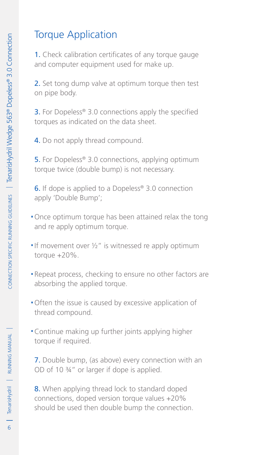# Torque Application

1. Check calibration certificates of any torque gauge and computer equipment used for make up.

2. Set tong dump valve at optimum torque then test on pipe body.

**3.** For Dopeless<sup>®</sup> 3.0 connections apply the specified torques as indicated on the data sheet.

4. Do not apply thread compound.

**5.** For Dopeless<sup>®</sup> 3.0 connections, applying optimum torque twice (double bump) is not necessary.

**6.** If dope is applied to a Dopeless<sup>®</sup> 3.0 connection apply 'Double Bump';

- .Once optimum torque has been attained relax the tong and re apply optimum torque.
- If movement over  $\frac{1}{2}$ " is witnessed re apply optimum torque +20%.
- .Repeat process, checking to ensure no other factors are absorbing the applied torque.
- .Often the issue is caused by excessive application of thread compound.
- .Continue making up further joints applying higher torque if required.

7. Double bump, (as above) every connection with an OD of 10 ¾" or larger if dope is applied.

8. When applying thread lock to standard doped connections, doped version torque values +20% should be used then double bump the connection.

TenarisHydril | RUNNING MANUAL |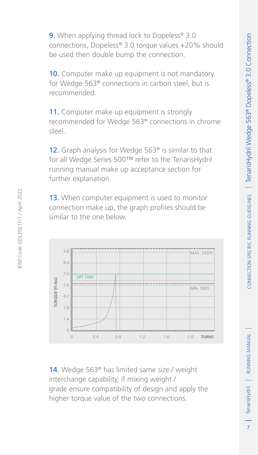9. When applying thread lock to Dopeless<sup>®</sup> 3.0 connections, Dopeless® 3.0 torque values +20% should be used then double bump the connection.

10. Computer make up equipment is not mandatory for Wedge 563® connections in carbon steel, but is recommended.

11. Computer make up equipment is strongly recommended for Wedge 563® connections in chrome steel.

12. Graph analysis for Wedge 563<sup>®</sup> is similar to that for all Wedge Series 500™ refer to the TenarisHydril running manual make up acceptance section for further explanation.

13. When computer equipment is used to monitor connection make up, the graph profiles should be similar to the one below.



14. Wedge 563<sup>®</sup> has limited same size / weight interchange capability, if mixing weight / grade ensure compatibility of design and apply the higher torque value of the two connections.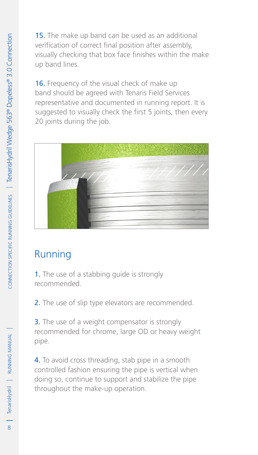15. The make up band can be used as an additional verification of correct final position after assembly, visually checking that box face finishes within the make up band lines.

16. Frequency of the visual check of make up band should be agreed with Tenaris Field Services representative and documented in running report. It is suggested to visually check the first 5 joints, then every 20 joints during the job.



# Running

1. The use of a stabbing guide is strongly recommended.

2. The use of slip type elevators are recommended.

**3.** The use of a weight compensator is strongly recommended for chrome, large OD or heavy weight pipe.

4. To avoid cross threading, stab pipe in a smooth controlled fashion ensuring the pipe is vertical when doing so, continue to support and stabilize the pipe throughout the make-up operation.

TenarisHydril | RUNNING MANUAL |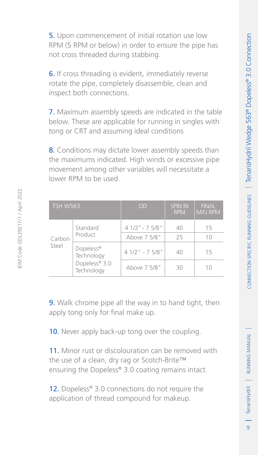5. Upon commencement of initial rotation use low RPM (5 RPM or below) in order to ensure the pipe has not cross threaded during stabbing.

6. If cross threading is evident, immediately reverse rotate the pipe, completely disassemble, clean and inspect both connections.

7. Maximum assembly speeds are indicated in the table below. These are applicable for running in singles with tong or CRT and assuming ideal conditions

8. Conditions may dictate lower assembly speeds than the maximums indicated. High winds or excessive pipe movement among other variables will necessitate a lower RPM to be used.

| <b>TSH W563</b> |                                                        | OD               | <b>SPIN IN</b><br><b>RPM</b> | <b>FINAL</b><br><b>M/U RPM</b> |
|-----------------|--------------------------------------------------------|------------------|------------------------------|--------------------------------|
| Carbon<br>Steel | Standard<br>Product                                    | $41/2$ " - 75/8" | 40                           | 15                             |
|                 |                                                        | Above 7 5/8"     | 25                           | 10                             |
|                 | Dopeless®<br>Technology<br>Dopeless® 3.0<br>Technology | $41/2$ " - 75/8" | 40                           | 15                             |
|                 |                                                        | Above 7 5/8"     | RΩ                           | 10                             |

**9.** Walk chrome pipe all the way in to hand tight, then apply tong only for final make up.

10. Never apply back-up tong over the coupling.

11. Minor rust or discolouration can be removed with the use of a clean, dry rag or Scotch-Brite™ ensuring the Dopeless® 3.0 coating remains intact.

12. Dopeless® 3.0 connections do not require the application of thread compound for makeup.